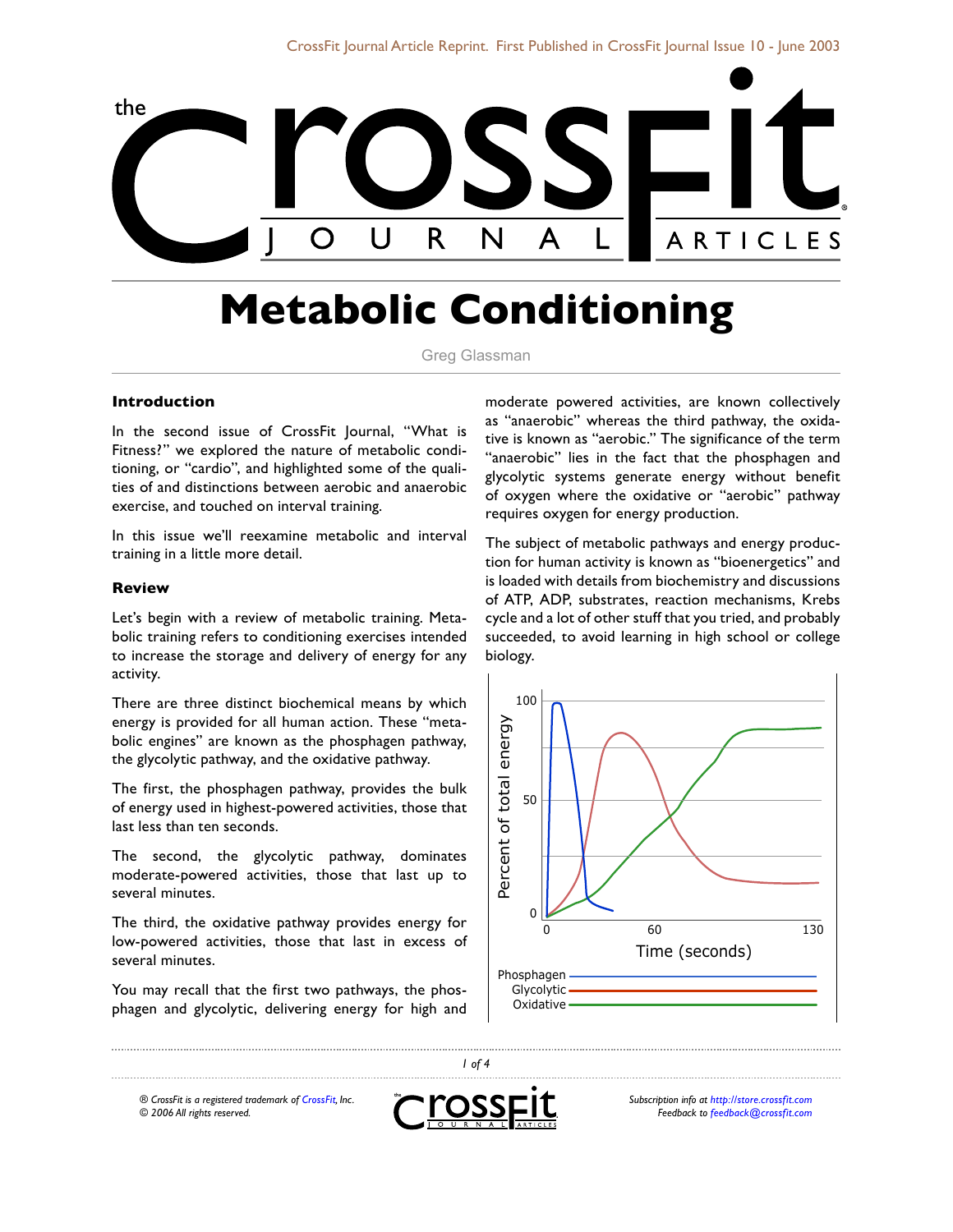

# **Metabolic Conditioning**

Greg Glassman

#### **Introduction**

In the second issue of CrossFit Journal, "What is Fitness?" we explored the nature of metabolic conditioning, or "cardio", and highlighted some of the qualities of and distinctions between aerobic and anaerobic exercise, and touched on interval training.

In this issue we'll reexamine metabolic and interval training in a little more detail.

#### **Review**

Let's begin with a review of metabolic training. Metabolic training refers to conditioning exercises intended to increase the storage and delivery of energy for any activity.

There are three distinct biochemical means by which energy is provided for all human action. These "metabolic engines" are known as the phosphagen pathway, the glycolytic pathway, and the oxidative pathway.

The first, the phosphagen pathway, provides the bulk of energy used in highest-powered activities, those that last less than ten seconds.

The second, the glycolytic pathway, dominates moderate-powered activities, those that last up to several minutes.

The third, the oxidative pathway provides energy for low-powered activities, those that last in excess of several minutes.

You may recall that the first two pathways, the phosphagen and glycolytic, delivering energy for high and moderate powered activities, are known collectively as "anaerobic" whereas the third pathway, the oxidative is known as "aerobic." The significance of the term "anaerobic" lies in the fact that the phosphagen and glycolytic systems generate energy without benefit of oxygen where the oxidative or "aerobic" pathway requires oxygen for energy production.

The subject of metabolic pathways and energy production for human activity is known as "bioenergetics" and is loaded with details from biochemistry and discussions of ATP, ADP, substrates, reaction mechanisms, Krebs cycle and a lot of other stuff that you tried, and probably succeeded, to avoid learning in high school or college biology.



*® CrossFit is a registered trademark of CrossFit, Inc. © 2006 All rights reserved.*



*1 of 4*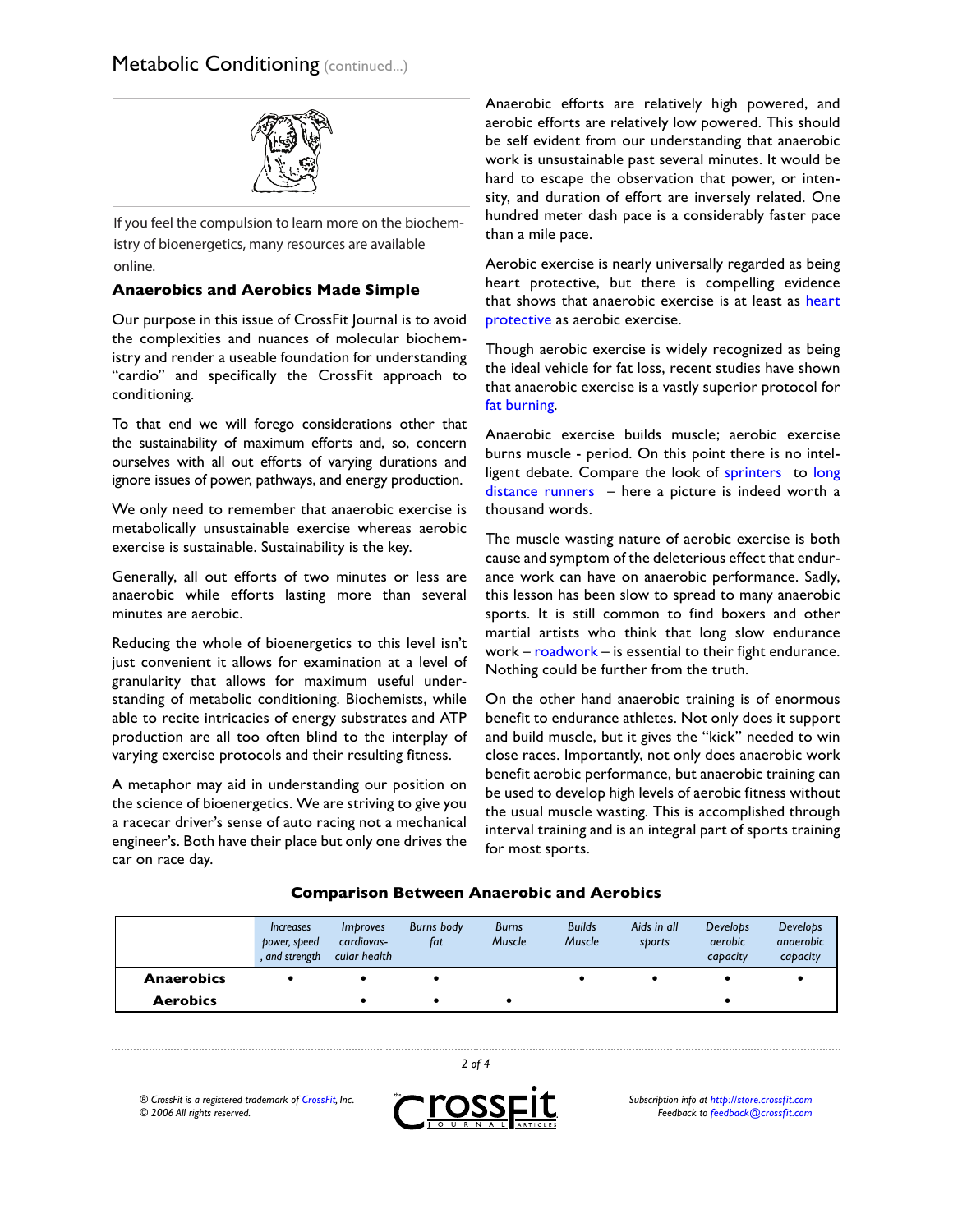

 $\overline{\phantom{a}}$  and  $\overline{\phantom{a}}$  with many of the gory details. And, consider the University of Connecticut the University of Connecticut here is a brief of  $\alpha$ istry of bioenergetics, many resources are available<br>andias If you feel the compulsion to learn more on the biochemonline.

### **Anaerobics and Aerobics Made Simple**

Our purpose in this issue of CrossFit Journal is to avoid the complexities and nuances of molecular biochemistry and render a useable foundation for understanding "cardio" and specifically the CrossFit approach to conditioning.

To that end we will forego considerations other that the sustainability of maximum efforts and, so, concern ourselves with all out efforts of varying durations and ignore issues of power, pathways, and energy production.

We only need to remember that anaerobic exercise is metabolically unsustainable exercise whereas aerobic exercise is sustainable. Sustainability is the key.

Generally, all out efforts of two minutes or less are anaerobic while efforts lasting more than several minutes are aerobic.

Reducing the whole of bioenergetics to this level isn't just convenient it allows for examination at a level of granularity that allows for maximum useful understanding of metabolic conditioning. Biochemists, while able to recite intricacies of energy substrates and ATP production are all too often blind to the interplay of varying exercise protocols and their resulting fitness.

A metaphor may aid in understanding our position on the science of bioenergetics. We are striving to give you a racecar driver's sense of auto racing not a mechanical engineer's. Both have their place but only one drives the car on race day.

Anaerobic efforts are relatively high powered, and aerobic efforts are relatively low powered. This should be self evident from our understanding that anaerobic work is unsustainable past several minutes. It would be hard to escape the observation that power, or intensity, and duration of effort are inversely related. One hundred meter dash pace is a considerably faster pace than a mile pace.

Aerobic exercise is nearly universally regarded as being heart protective, but there is compelling evidence that shows that anaerobic exercise is at least as heart protective as aerobic exercise.

Though aerobic exercise is widely recognized as being the ideal vehicle for fat loss, recent studies have shown that anaerobic exercise is a vastly superior protocol for fat burning.

Anaerobic exercise builds muscle; aerobic exercise burns muscle - period. On this point there is no intelligent debate. Compare the look of sprinters to long distance runners – here a picture is indeed worth a thousand words.

The muscle wasting nature of aerobic exercise is both cause and symptom of the deleterious effect that endurance work can have on anaerobic performance. Sadly, this lesson has been slow to spread to many anaerobic sports. It is still common to find boxers and other martial artists who think that long slow endurance work – roadwork – is essential to their fight endurance. Nothing could be further from the truth.

On the other hand anaerobic training is of enormous benefit to endurance athletes. Not only does it support and build muscle, but it gives the "kick" needed to win close races. Importantly, not only does anaerobic work benefit aerobic performance, but anaerobic training can be used to develop high levels of aerobic fitness without the usual muscle wasting. This is accomplished through interval training and is an integral part of sports training for most sports.

|                   | <i><u><b>Increases</b></u></i><br>power, speed<br>, and strength | <i>Improves</i><br>cardiovas-<br>cular health | <b>Burns body</b><br>fat | <b>Burns</b><br>Muscle | <b>Builds</b><br>Muscle | Aids in all<br>sports | Develops<br><i>aerobic</i><br>capacity | <b>Develops</b><br>angerobic<br>capacity |
|-------------------|------------------------------------------------------------------|-----------------------------------------------|--------------------------|------------------------|-------------------------|-----------------------|----------------------------------------|------------------------------------------|
| <b>Anaerobics</b> |                                                                  |                                               |                          |                        |                         |                       |                                        |                                          |
| <b>Aerobics</b>   |                                                                  |                                               |                          |                        |                         |                       |                                        |                                          |
|                   |                                                                  |                                               |                          |                        |                         |                       |                                        |                                          |

#### **Comparison Between Anaerobic and Aerobics**

*® CrossFit is a registered trademark of CrossFit, Inc. © 2006 All rights reserved.*



*2 of 4*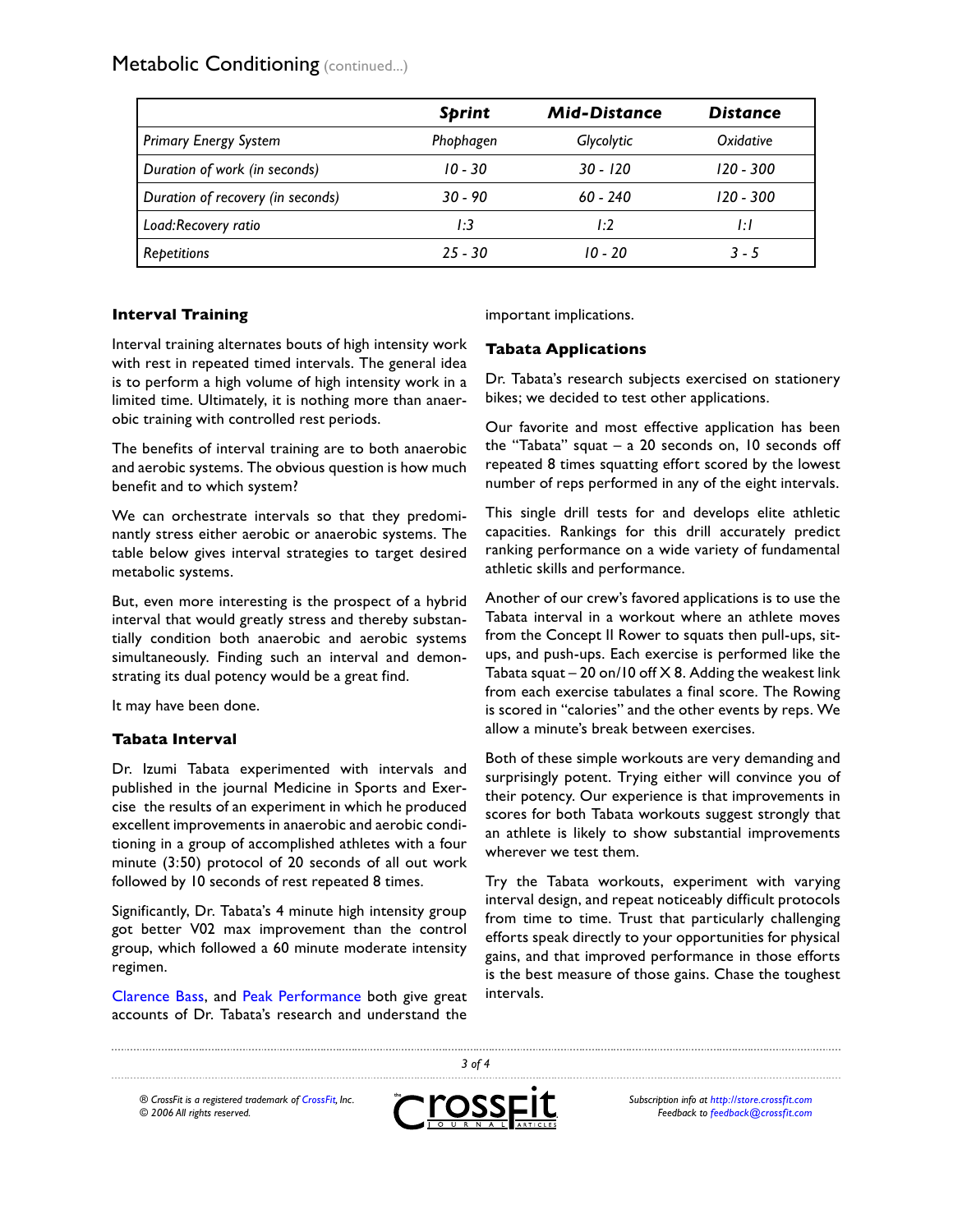Metabolic Conditioning (continued...)

|                                   | <b>Sprint</b> | <b>Mid-Distance</b> | <b>Distance</b> |  |
|-----------------------------------|---------------|---------------------|-----------------|--|
| <b>Primary Energy System</b>      | Phophagen     | Glycolytic          | Oxidative       |  |
| Duration of work (in seconds)     | $10 - 30$     | $30 - 120$          | $120 - 300$     |  |
| Duration of recovery (in seconds) | $30 - 90$     | $60 - 240$          | $120 - 300$     |  |
| Load:Recovery ratio               | I:3           | I:2                 | ĿI              |  |
| Repetitions                       | $25 - 30$     | $10 - 20$           | $3 - 5$         |  |

## **Interval Training**

Interval training alternates bouts of high intensity work with rest in repeated timed intervals. The general idea is to perform a high volume of high intensity work in a limited time. Ultimately, it is nothing more than anaerobic training with controlled rest periods.

The benefits of interval training are to both anaerobic and aerobic systems. The obvious question is how much benefit and to which system?

We can orchestrate intervals so that they predominantly stress either aerobic or anaerobic systems. The table below gives interval strategies to target desired metabolic systems.

But, even more interesting is the prospect of a hybrid interval that would greatly stress and thereby substantially condition both anaerobic and aerobic systems simultaneously. Finding such an interval and demonstrating its dual potency would be a great find.

It may have been done.

#### **Tabata Interval**

Dr. Izumi Tabata experimented with intervals and published in the journal Medicine in Sports and Exercise the results of an experiment in which he produced excellent improvements in anaerobic and aerobic conditioning in a group of accomplished athletes with a four minute (3:50) protocol of 20 seconds of all out work followed by 10 seconds of rest repeated 8 times.

Significantly, Dr. Tabata's 4 minute high intensity group got better V02 max improvement than the control group, which followed a 60 minute moderate intensity regimen.

Clarence Bass, and Peak Performance both give great accounts of Dr. Tabata's research and understand the

important implications.

# **Tabata Applications**

Dr. Tabata's research subjects exercised on stationery bikes; we decided to test other applications.

Our favorite and most effective application has been the "Tabata" squat – a 20 seconds on, 10 seconds off repeated 8 times squatting effort scored by the lowest number of reps performed in any of the eight intervals.

This single drill tests for and develops elite athletic capacities. Rankings for this drill accurately predict ranking performance on a wide variety of fundamental athletic skills and performance.

Another of our crew's favored applications is to use the Tabata interval in a workout where an athlete moves from the Concept II Rower to squats then pull-ups, situps, and push-ups. Each exercise is performed like the Tabata squat – 20 on/10 off  $X$  8. Adding the weakest link from each exercise tabulates a final score. The Rowing is scored in "calories" and the other events by reps. We allow a minute's break between exercises.

Both of these simple workouts are very demanding and surprisingly potent. Trying either will convince you of their potency. Our experience is that improvements in scores for both Tabata workouts suggest strongly that an athlete is likely to show substantial improvements wherever we test them.

Try the Tabata workouts, experiment with varying interval design, and repeat noticeably difficult protocols from time to time. Trust that particularly challenging efforts speak directly to your opportunities for physical gains, and that improved performance in those efforts is the best measure of those gains. Chase the toughest intervals.

*® CrossFit is a registered trademark of CrossFit, Inc. © 2006 All rights reserved.*



*3 of 4*